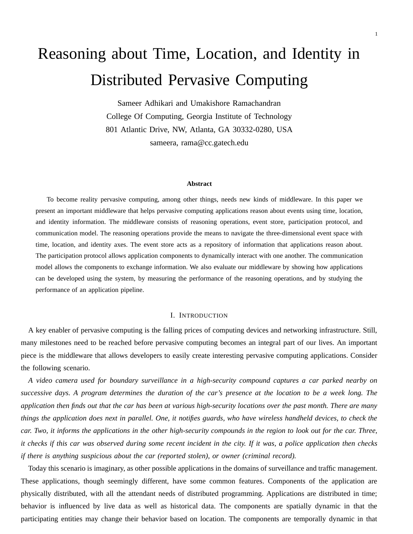# Reasoning about Time, Location, and Identity in Distributed Pervasive Computing

Sameer Adhikari and Umakishore Ramachandran College Of Computing, Georgia Institute of Technology 801 Atlantic Drive, NW, Atlanta, GA 30332-0280, USA sameera, rama@cc.gatech.edu

#### **Abstract**

To become reality pervasive computing, among other things, needs new kinds of middleware. In this paper we present an important middleware that helps pervasive computing applications reason about events using time, location, and identity information. The middleware consists of reasoning operations, event store, participation protocol, and communication model. The reasoning operations provide the means to navigate the three-dimensional event space with time, location, and identity axes. The event store acts as a repository of information that applications reason about. The participation protocol allows application components to dynamically interact with one another. The communication model allows the components to exchange information. We also evaluate our middleware by showing how applications can be developed using the system, by measuring the performance of the reasoning operations, and by studying the performance of an application pipeline.

# I. INTRODUCTION

A key enabler of pervasive computing is the falling prices of computing devices and networking infrastructure. Still, many milestones need to be reached before pervasive computing becomes an integral part of our lives. An important piece is the middleware that allows developers to easily create interesting pervasive computing applications. Consider the following scenario.

*A video camera used for boundary surveillance in a high-security compound captures a car parked nearby on* successive days. A program determines the duration of the car's presence at the location to be a week long. The application then finds out that the car has been at various high-security locations over the past month. There are many things the application does next in parallel. One, it notifies guards, who have wireless handheld devices, to check the car. Two, it informs the applications in the other high-security compounds in the region to look out for the car. Three, it checks if this car was observed during some recent incident in the city. If it was, a police application then checks *if there is anything suspicious about the car (reported stolen), or owner (criminal record).*

Today this scenario is imaginary, as other possible applications in the domains of surveillance and traffic management. These applications, though seemingly different, have some common features. Components of the application are physically distributed, with all the attendant needs of distributed programming. Applications are distributed in time; behavior is influenced by live data as well as historical data. The components are spatially dynamic in that the participating entities may change their behavior based on location. The components are temporally dynamic in that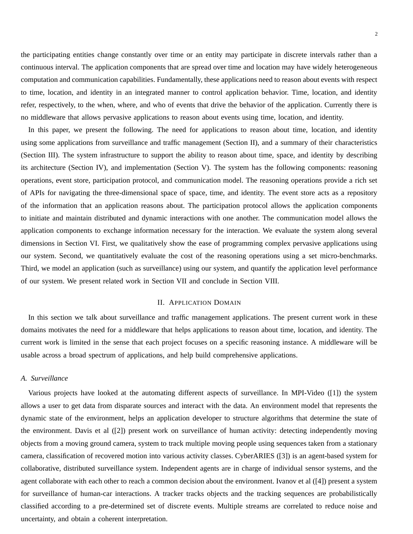the participating entities change constantly over time or an entity may participate in discrete intervals rather than a continuous interval. The application components that are spread over time and location may have widely heterogeneous computation and communication capabilities. Fundamentally, these applications need to reason about events with respect to time, location, and identity in an integrated manner to control application behavior. Time, location, and identity refer, respectively, to the when, where, and who of events that drive the behavior of the application. Currently there is no middleware that allows pervasive applications to reason about events using time, location, and identity.

In this paper, we present the following. The need for applications to reason about time, location, and identity using some applications from surveillance and traffic management (Section II), and a summary of their characteristics (Section III). The system infrastructure to support the ability to reason about time, space, and identity by describing its architecture (Section IV), and implementation (Section V). The system has the following components: reasoning operations, event store, participation protocol, and communication model. The reasoning operations provide a rich set of APIs for navigating the three-dimensional space of space, time, and identity. The event store acts as a repository of the information that an application reasons about. The participation protocol allows the application components to initiate and maintain distributed and dynamic interactions with one another. The communication model allows the application components to exchange information necessary for the interaction. We evaluate the system along several dimensions in Section VI. First, we qualitatively show the ease of programming complex pervasive applications using our system. Second, we quantitatively evaluate the cost of the reasoning operations using a set micro-benchmarks. Third, we model an application (such as surveillance) using our system, and quantify the application level performance of our system. We present related work in Section VII and conclude in Section VIII.

# II. APPLICATION DOMAIN

In this section we talk about surveillance and traffic management applications. The present current work in these domains motivates the need for a middleware that helps applications to reason about time, location, and identity. The current work is limited in the sense that each project focuses on a specific reasoning instance. A middleware will be usable across a broad spectrum of applications, and help build comprehensive applications.

# *A. Surveillance*

Various projects have looked at the automating different aspects of surveillance. In MPI-Video ([1]) the system allows a user to get data from disparate sources and interact with the data. An environment model that represents the dynamic state of the environment, helps an application developer to structure algorithms that determine the state of the environment. Davis et al ([2]) present work on surveillance of human activity: detecting independently moving objects from a moving ground camera, system to track multiple moving people using sequences taken from a stationary camera, classification of recovered motion into various activity classes. CyberARIES ([3]) is an agent-based system for collaborative, distributed surveillance system. Independent agents are in charge of individual sensor systems, and the agent collaborate with each other to reach a common decision about the environment. Ivanov et al ([4]) present a system for surveillance of human-car interactions. A tracker tracks objects and the tracking sequences are probabilistically classified according to a pre-determined set of discrete events. Multiple streams are correlated to reduce noise and uncertainty, and obtain a coherent interpretation.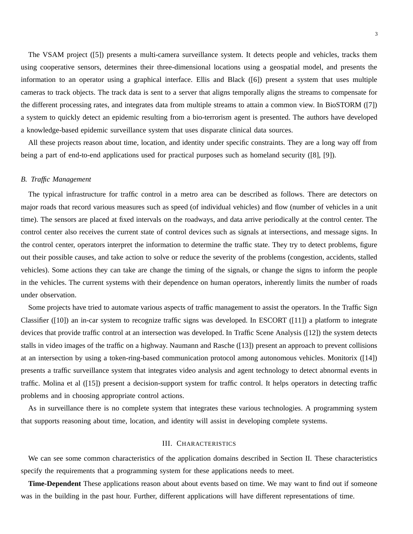The VSAM project ([5]) presents a multi-camera surveillance system. It detects people and vehicles, tracks them using cooperative sensors, determines their three-dimensional locations using a geospatial model, and presents the information to an operator using a graphical interface. Ellis and Black ([6]) present a system that uses multiple cameras to track objects. The track data is sent to a server that aligns temporally aligns the streams to compensate for the different processing rates, and integrates data from multiple streams to attain a common view. In BioSTORM ([7]) a system to quickly detect an epidemic resulting from a bio-terrorism agent is presented. The authors have developed a knowledge-based epidemic surveillance system that uses disparate clinical data sources.

All these projects reason about time, location, and identity under specific constraints. They are a long way off from being a part of end-to-end applications used for practical purposes such as homeland security ([8], [9]).

## *B. Traffic Management*

The typical infrastructure for traffic control in a metro area can be described as follows. There are detectors on major roads that record various measures such as speed (of individual vehicles) and flow (number of vehicles in a unit time). The sensors are placed at fixed intervals on the roadways, and data arrive periodically at the control center. The control center also receives the current state of control devices such as signals at intersections, and message signs. In the control center, operators interpret the information to determine the traffic state. They try to detect problems, figure out their possible causes, and take action to solve or reduce the severity of the problems (congestion, accidents, stalled vehicles). Some actions they can take are change the timing of the signals, or change the signs to inform the people in the vehicles. The current systems with their dependence on human operators, inherently limits the number of roads under observation.

Some projects have tried to automate various aspects of traffic management to assist the operators. In the Traffic Sign Classifier ([10]) an in-car system to recognize traffic signs was developed. In ESCORT ([11]) a platform to integrate devices that provide traffic control at an intersection was developed. In Traffic Scene Analysis ([12]) the system detects stalls in video images of the traffic on a highway. Naumann and Rasche ([13]) present an approach to prevent collisions at an intersection by using a token-ring-based communication protocol among autonomous vehicles. Monitorix ([14]) presents a traffic surveillance system that integrates video analysis and agent technology to detect abnormal events in traffic. Molina et al ([15]) present a decision-support system for traffic control. It helps operators in detecting traffic problems and in choosing appropriate control actions.

As in surveillance there is no complete system that integrates these various technologies. A programming system that supports reasoning about time, location, and identity will assist in developing complete systems.

# III. CHARACTERISTICS

We can see some common characteristics of the application domains described in Section II. These characteristics specify the requirements that a programming system for these applications needs to meet.

**Time-Dependent** These applications reason about about events based on time. We may want to find out if someone was in the building in the past hour. Further, different applications will have different representations of time.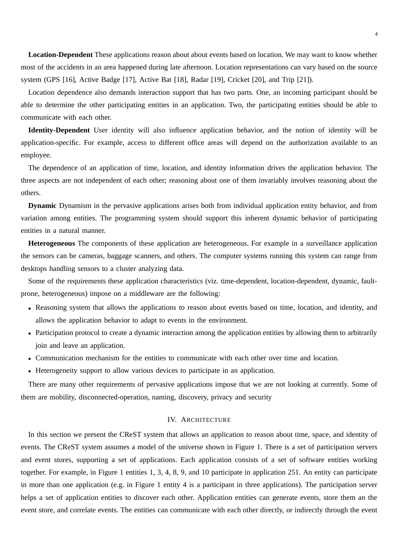**Location-Dependent** These applications reason about about events based on location. We may want to know whether most of the accidents in an area happened during late afternoon. Location representations can vary based on the source system (GPS [16], Active Badge [17], Active Bat [18], Radar [19], Cricket [20], and Trip [21]).

Location dependence also demands interaction support that has two parts. One, an incoming participant should be able to determine the other participating entities in an application. Two, the participating entities should be able to communicate with each other.

**Identity-Dependent** User identity will also influence application behavior, and the notion of identity will be application-specific. For example, access to different office areas will depend on the authorization available to an employee.

The dependence of an application of time, location, and identity information drives the application behavior. The three aspects are not independent of each other; reasoning about one of them invariably involves reasoning about the others.

**Dynamic** Dynamism in the pervasive applications arises both from individual application entity behavior, and from variation among entities. The programming system should support this inherent dynamic behavior of participating entities in a natural manner.

**Heterogeneous** The components of these application are heterogeneous. For example in a surveillance application the sensors can be cameras, baggage scanners, and others. The computer systems running this system can range from desktops handling sensors to a cluster analyzing data.

Some of the requirements these application characteristics (viz. time-dependent, location-dependent, dynamic, faultprone, heterogeneous) impose on a middleware are the following:

- Reasoning system that allows the applications to reason about events based on time, location, and identity, and allows the application behavior to adapt to events in the environment.
- Participation protocol to create a dynamic interaction among the application entities by allowing them to arbitrarily join and leave an application.
- Communication mechanism for the entities to communicate with each other over time and location.
- Heterogeneity support to allow various devices to participate in an application.

There are many other requirements of pervasive applications impose that we are not looking at currently. Some of them are mobility, disconnected-operation, naming, discovery, privacy and security

# IV. ARCHITECTURE

In this section we present the CReST system that allows an application to reason about time, space, and identity of events. The CReST system assumes a model of the universe shown in Figure 1. There is a set of participation servers and event stores, supporting a set of applications. Each application consists of a set of software entities working together. For example, in Figure 1 entities 1, 3, 4, 8, 9, and 10 participate in application 251. An entity can participate in more than one application (e.g. in Figure 1 entity 4 is a participant in three applications). The participation server helps a set of application entities to discover each other. Application entities can generate events, store them an the event store, and correlate events. The entities can communicate with each other directly, or indirectly through the event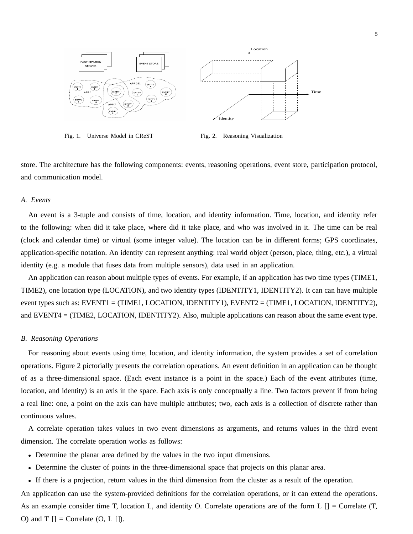

Fig. 1. Universe Model in CReST

Fig. 2. Reasoning Visualization

store. The architecture has the following components: events, reasoning operations, event store, participation protocol, and communication model.

# *A. Events*

An event is a 3-tuple and consists of time, location, and identity information. Time, location, and identity refer to the following: when did it take place, where did it take place, and who was involved in it. The time can be real (clock and calendar time) or virtual (some integer value). The location can be in different forms; GPS coordinates, application-specific notation. An identity can represent anything: real world object (person, place, thing, etc.), a virtual identity (e.g. a module that fuses data from multiple sensors), data used in an application.

An application can reason about multiple types of events. For example, if an application has two time types (TIME1, TIME2), one location type (LOCATION), and two identity types (IDENTITY1, IDENTITY2). It can can have multiple event types such as: EVENT1 = (TIME1, LOCATION, IDENTITY1), EVENT2 = (TIME1, LOCATION, IDENTITY2), and EVENT4 = (TIME2, LOCATION, IDENTITY2). Also, multiple applications can reason about the same event type.

## *B. Reasoning Operations*

For reasoning about events using time, location, and identity information, the system provides a set of correlation operations. Figure 2 pictorially presents the correlation operations. An event definition in an application can be thought of as a three-dimensional space. (Each event instance is a point in the space.) Each of the event attributes (time, location, and identity) is an axis in the space. Each axis is only conceptually a line. Two factors prevent if from being a real line: one, a point on the axis can have multiple attributes; two, each axis is a collection of discrete rather than continuous values.

A correlate operation takes values in two event dimensions as arguments, and returns values in the third event dimension. The correlate operation works as follows:

- Determine the planar area defined by the values in the two input dimensions.
- Determine the cluster of points in the three-dimensional space that projects on this planar area.
- If there is a projection, return values in the third dimension from the cluster as a result of the operation.

An application can use the system-provided definitions for the correlation operations, or it can extend the operations. As an example consider time T, location L, and identity O. Correlate operations are of the form L [] = Correlate (T, O) and T  $[]$  = Correlate  $(0, L []$ .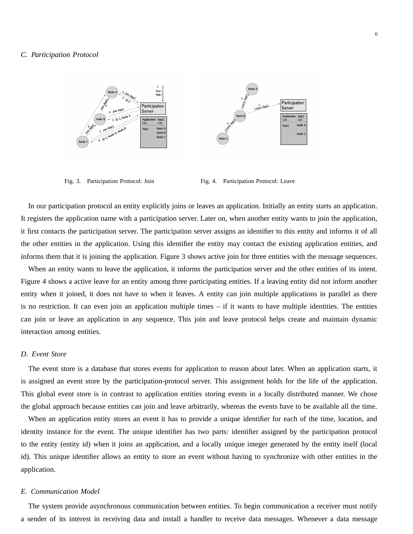

Fig. 3. Participation Protocol: Join Fig. 4. Participation Protocol: Leave

In our participation protocol an entity explicitly joins or leaves an application. Initially an entity starts an application. It registers the application name with a participation server. Later on, when another entity wants to join the application, it first contacts the participation server. The participation server assigns an identifier to this entity and informs it of all the other entities in the application. Using this identifier the entity may contact the existing application entities, and informs them that it is joining the application. Figure 3 shows active join for three entities with the message sequences.

When an entity wants to leave the application, it informs the participation server and the other entities of its intent. Figure 4 shows a active leave for an entity among three participating entities. If a leaving entity did not inform another entity when it joined, it does not have to when it leaves. A entity can join multiple applications in parallel as there is no restriction. It can even join an application multiple times – if it wants to have multiple identities. The entities can join or leave an application in any sequence. This join and leave protocol helps create and maintain dynamic interaction among entities.

# *D. Event Store*

The event store is a database that stores events for application to reason about later. When an application starts, it is assigned an event store by the participation-protocol server. This assignment holds for the life of the application. This global event store is in contrast to application entities storing events in a locally distributed manner. We chose the global approach because entities can join and leave arbitrarily, whereas the events have to be available all the time.

When an application entity stores an event it has to provide a unique identifier for each of the time, location, and identity instance for the event. The unique identifier has two parts: identifier assigned by the participation protocol to the entity (entity id) when it joins an application, and a locally unique integer generated by the entity itself (local id). This unique identifier allows an entity to store an event without having to synchronize with other entities in the application.

## *E. Communication Model*

The system provide asynchronous communication between entities. To begin communication a receiver must notify a sender of its interest in receiving data and install a handler to receive data messages. Whenever a data message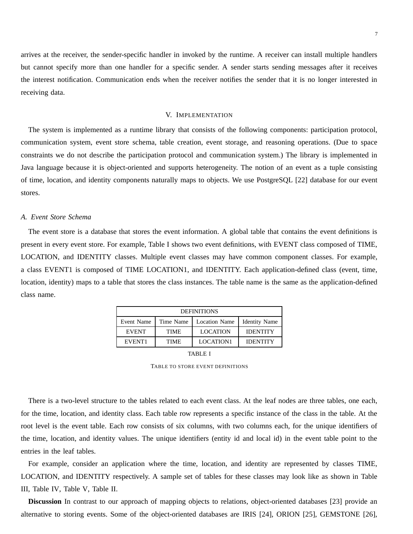arrives at the receiver, the sender-specific handler in invoked by the runtime. A receiver can install multiple handlers but cannot specify more than one handler for a specific sender. A sender starts sending messages after it receives the interest notification. Communication ends when the receiver notifies the sender that it is no longer interested in receiving data.

# V. IMPLEMENTATION

The system is implemented as a runtime library that consists of the following components: participation protocol, communication system, event store schema, table creation, event storage, and reasoning operations. (Due to space constraints we do not describe the participation protocol and communication system.) The library is implemented in Java language because it is object-oriented and supports heterogeneity. The notion of an event as a tuple consisting of time, location, and identity components naturally maps to objects. We use PostgreSQL [22] database for our event stores.

# *A. Event Store Schema*

The event store is a database that stores the event information. A global table that contains the event definitions is present in every event store. For example, Table I shows two event definitions, with EVENT class composed of TIME, LOCATION, and IDENTITY classes. Multiple event classes may have common component classes. For example, a class EVENT1 is composed of TIME LOCATION1, and IDENTITY. Each application-defined class (event, time, location, identity) maps to a table that stores the class instances. The table name is the same as the application-defined class name.

| <b>DEFINITIONS</b>      |             |                      |                      |  |
|-------------------------|-------------|----------------------|----------------------|--|
| Time Name<br>Event Name |             | <b>Location Name</b> | <b>Identity Name</b> |  |
| <b>EVENT</b>            | <b>TIME</b> | <b>LOCATION</b>      | <b>IDENTITY</b>      |  |
| EVENT <sub>1</sub>      | <b>TIME</b> | LOCATION1            | <b>IDENTITY</b>      |  |
|                         |             |                      |                      |  |

TABLE I

TABLE TO STORE EVENT DEFINITIONS

There is a two-level structure to the tables related to each event class. At the leaf nodes are three tables, one each, for the time, location, and identity class. Each table row represents a specific instance of the class in the table. At the root level is the event table. Each row consists of six columns, with two columns each, for the unique identifiers of the time, location, and identity values. The unique identifiers (entity id and local id) in the event table point to the entries in the leaf tables.

For example, consider an application where the time, location, and identity are represented by classes TIME, LOCATION, and IDENTITY respectively. A sample set of tables for these classes may look like as shown in Table III, Table IV, Table V, Table II.

**Discussion** In contrast to our approach of mapping objects to relations, object-oriented databases [23] provide an alternative to storing events. Some of the object-oriented databases are IRIS [24], ORION [25], GEMSTONE [26],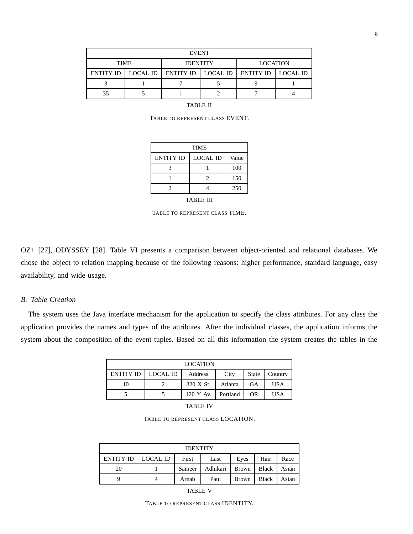| <b>EVENT</b>     |          |                      |  |                    |  |
|------------------|----------|----------------------|--|--------------------|--|
| <b>TIME</b>      |          | <b>IDENTITY</b>      |  | <b>LOCATION</b>    |  |
| <b>ENTITY ID</b> | LOCAL ID | ENTITY ID   LOCAL ID |  | ENTITY ID LOCAL ID |  |
|                  |          |                      |  |                    |  |
| 35               |          |                      |  |                    |  |

TABLE II

TABLE TO REPRESENT CLASS EVENT.

| <b>TIME</b>      |                 |       |  |  |
|------------------|-----------------|-------|--|--|
| <b>ENTITY ID</b> | <b>LOCAL ID</b> | Value |  |  |
|                  |                 | 100   |  |  |
|                  | 2               | 150   |  |  |
|                  |                 | 250   |  |  |

TABLE III

TABLE TO REPRESENT CLASS TIME.

OZ+ [27], ODYSSEY [28]. Table VI presents a comparison between object-oriented and relational databases. We chose the object to relation mapping because of the following reasons: higher performance, standard language, easy availability, and wide usage.

# *B. Table Creation*

The system uses the Java interface mechanism for the application to specify the class attributes. For any class the application provides the names and types of the attributes. After the individual classes, the application informs the system about the composition of the event tuples. Based on all this information the system creates the tables in the

| <b>LOCATION</b>      |  |           |          |              |            |
|----------------------|--|-----------|----------|--------------|------------|
| ENTITY ID   LOCAL ID |  | Address   | City     | <b>State</b> | Country    |
| 10                   |  | 320 X St. | Atlanta  | GА           | <b>USA</b> |
|                      |  | 120 Y Av. | Portland | <b>OR</b>    | <b>USA</b> |

TABLE IV

TABLE TO REPRESENT CLASS LOCATION.

| <b>IDENTITY</b>      |  |        |          |              |              |       |
|----------------------|--|--------|----------|--------------|--------------|-------|
| ENTITY ID   LOCAL ID |  | First  | Last     | Eves         | Hair         | Race  |
| 20                   |  | Sameer | Adhikari | <b>Brown</b> | <b>Black</b> | Asian |
|                      |  | Arnab  | Paul     | <b>Brown</b> | <b>Black</b> | Asian |

TABLE V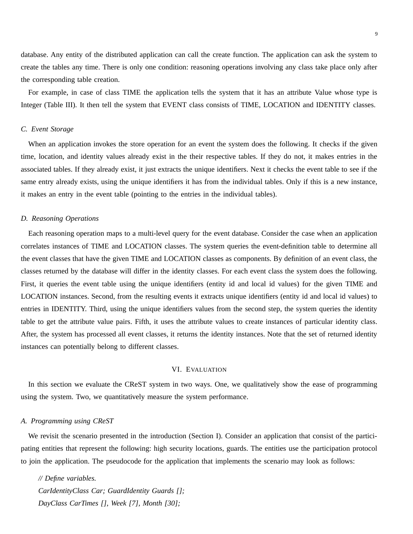database. Any entity of the distributed application can call the create function. The application can ask the system to create the tables any time. There is only one condition: reasoning operations involving any class take place only after the corresponding table creation.

For example, in case of class TIME the application tells the system that it has an attribute Value whose type is Integer (Table III). It then tell the system that EVENT class consists of TIME, LOCATION and IDENTITY classes.

# *C. Event Storage*

When an application invokes the store operation for an event the system does the following. It checks if the given time, location, and identity values already exist in the their respective tables. If they do not, it makes entries in the associated tables. If they already exist, it just extracts the unique identifiers. Next it checks the event table to see if the same entry already exists, using the unique identifiers it has from the individual tables. Only if this is a new instance, it makes an entry in the event table (pointing to the entries in the individual tables).

# *D. Reasoning Operations*

Each reasoning operation maps to a multi-level query for the event database. Consider the case when an application correlates instances of TIME and LOCATION classes. The system queries the event-definition table to determine all the event classes that have the given TIME and LOCATION classes as components. By definition of an event class, the classes returned by the database will differ in the identity classes. For each event class the system does the following. First, it queries the event table using the unique identifiers (entity id and local id values) for the given TIME and LOCATION instances. Second, from the resulting events it extracts unique identifiers (entity id and local id values) to entries in IDENTITY. Third, using the unique identifiers values from the second step, the system queries the identity table to get the attribute value pairs. Fifth, it uses the attribute values to create instances of particular identity class. After, the system has processed all event classes, it returns the identity instances. Note that the set of returned identity instances can potentially belong to different classes.

## VI. EVALUATION

In this section we evaluate the CReST system in two ways. One, we qualitatively show the ease of programming using the system. Two, we quantitatively measure the system performance.

# *A. Programming using CReST*

We revisit the scenario presented in the introduction (Section I). Consider an application that consist of the participating entities that represent the following: high security locations, guards. The entities use the participation protocol to join the application. The pseudocode for the application that implements the scenario may look as follows:

*// Define variables. CarIdentityClass Car; GuardIdentity Guards []; DayClass CarTimes [], Week [7], Month [30];*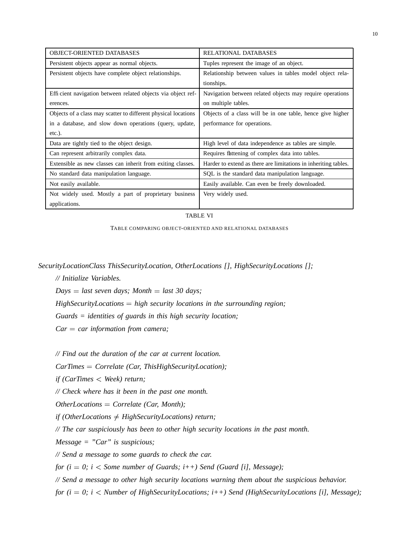| <b>OBJECT-ORIENTED DATABASES</b>                               | <b>RELATIONAL DATABASES</b>                                     |
|----------------------------------------------------------------|-----------------------------------------------------------------|
| Persistent objects appear as normal objects.                   | Tuples represent the image of an object.                        |
| Persistent objects have complete object relationships.         | Relationship between values in tables model object rela-        |
|                                                                | tionships.                                                      |
| Efficient navigation between related objects via object ref-   | Navigation between related objects may require operations       |
| erences.                                                       | on multiple tables.                                             |
| Objects of a class may scatter to different physical locations | Objects of a class will be in one table, hence give higher      |
| in a database, and slow down operations (query, update,        | performance for operations.                                     |
| $etc.$ ).                                                      |                                                                 |
| Data are tightly tied to the object design.                    | High level of data independence as tables are simple.           |
| Can represent arbitrarily complex data.                        | Requires flattening of complex data into tables.                |
| Extensible as new classes can inherit from exiting classes.    | Harder to extend as there are limitations in inheriting tables. |
| No standard data manipulation language.                        | SQL is the standard data manipulation language.                 |
| Not easily available.                                          | Easily available. Can even be freely downloaded.                |
| Not widely used. Mostly a part of proprietary business         | Very widely used.                                               |
| applications.                                                  |                                                                 |

## TABLE VI

TABLE COMPARING OBJECT-ORIENTED AND RELATIONAL DATABASES

*SecurityLocationClass ThisSecurityLocation, OtherLocations [], HighSecurityLocations [];*

*// Initialize Variables.*

*Days last seven days; Month last 30 days;*

*HighSecurityLocations high security locations in the surrounding region;*

*Guards = identities of guards in this high security location;*

*Car car information from camera;*

*// Find out the duration of the car at current location.*

*CarTimes Correlate (Car, ThisHighSecurityLocation);*

*if (CarTimes Week) return;*

*// Check where has it been in the past one month.*

*OtherLocations Correlate (Car, Month);*

*if* (OtherLocations  $\neq$  HighSecurityLocations) return;

*// The car suspiciously has been to other high security locations in the past month.*

*Message = "Car" is suspicious;*

*// Send a message to some guards to check the car.*

*for (i 0; i Some number of Guards; i++) Send (Guard [i], Message);*

*// Send a message to other high security locations warning them about the suspicious behavior.*

*for (i 0; i Number of HighSecurityLocations; i++) Send (HighSecurityLocations [i], Message);*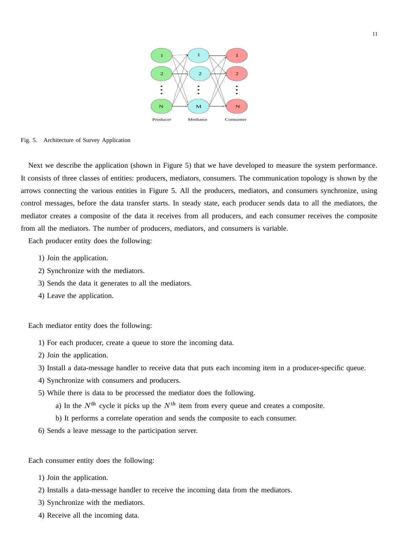

#### Fig. 5. Architecture of Survey Application

Next we describe the application (shown in Figure 5) that we have developed to measure the system performance. It consists of three classes of entities: producers, mediators, consumers. The communication topology is shown by the arrows connecting the various entities in Figure 5. All the producers, mediators, and consumers synchronize, using control messages, before the data transfer starts. In steady state, each producer sends data to all the mediators, the mediator creates a composite of the data it receives from all producers, and each consumer receives the composite from all the mediators. The number of producers, mediators, and consumers is variable.

Each producer entity does the following:

- 1) Join the application.
- 2) Synchronize with the mediators.
- 3) Sends the data it generates to all the mediators.
- 4) Leave the application.

Each mediator entity does the following:

- 1) For each producer, create a queue to store the incoming data.
- 2) Join the application.
- 3) Install a data-message handler to receive data that puts each incoming item in a producer-specific queue.
- 4) Synchronize with consumers and producers.
- 5) While there is data to be processed the mediator does the following.
	- a) In the  $N^{th}$  cycle it picks up the  $N^{th}$  item from every queue and creates a composite.
	- b) It performs a correlate operation and sends the composite to each consumer.
- 6) Sends a leave message to the participation server.

Each consumer entity does the following:

- 1) Join the application.
- 2) Installs a data-message handler to receive the incoming data from the mediators.
- 3) Synchronize with the mediators.
- 4) Receive all the incoming data.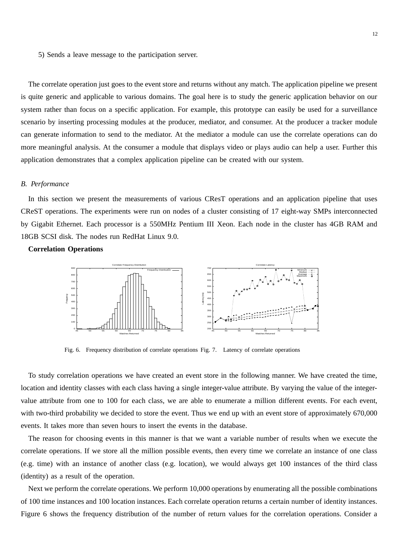5) Sends a leave message to the participation server.

The correlate operation just goes to the event store and returns without any match. The application pipeline we present is quite generic and applicable to various domains. The goal here is to study the generic application behavior on our system rather than focus on a specific application. For example, this prototype can easily be used for a surveillance scenario by inserting processing modules at the producer, mediator, and consumer. At the producer a tracker module can generate information to send to the mediator. At the mediator a module can use the correlate operations can do more meaningful analysis. At the consumer a module that displays video or plays audio can help a user. Further this application demonstrates that a complex application pipeline can be created with our system.

## *B. Performance*

In this section we present the measurements of various CResT operations and an application pipeline that uses CReST operations. The experiments were run on nodes of a cluster consisting of 17 eight-way SMPs interconnected by Gigabit Ethernet. Each processor is a 550MHz Pentium III Xeon. Each node in the cluster has 4GB RAM and 18GB SCSI disk. The nodes run RedHat Linux 9.0.

# **Correlation Operations**



Fig. 6. Frequency distribution of correlate operations Fig. 7. Latency of correlate operations

To study correlation operations we have created an event store in the following manner. We have created the time, location and identity classes with each class having a single integer-value attribute. By varying the value of the integervalue attribute from one to 100 for each class, we are able to enumerate a million different events. For each event, with two-third probability we decided to store the event. Thus we end up with an event store of approximately 670,000 events. It takes more than seven hours to insert the events in the database.

The reason for choosing events in this manner is that we want a variable number of results when we execute the correlate operations. If we store all the million possible events, then every time we correlate an instance of one class (e.g. time) with an instance of another class (e.g. location), we would always get 100 instances of the third class (identity) as a result of the operation.

Next we perform the correlate operations. We perform 10,000 operations by enumerating all the possible combinations of 100 time instances and 100 location instances. Each correlate operation returns a certain number of identity instances. Figure 6 shows the frequency distribution of the number of return values for the correlation operations. Consider a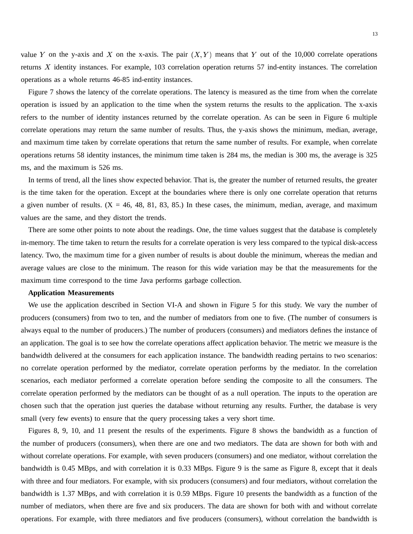value Y on the y-axis and X on the x-axis. The pair  $(X, Y)$  means that Y out of the 10,000 correlate operations returns  $X$  identity instances. For example, 103 correlation operation returns 57 ind-entity instances. The correlation operations as a whole returns 46-85 ind-entity instances.

Figure 7 shows the latency of the correlate operations. The latency is measured as the time from when the correlate operation is issued by an application to the time when the system returns the results to the application. The x-axis refers to the number of identity instances returned by the correlate operation. As can be seen in Figure 6 multiple correlate operations may return the same number of results. Thus, the y-axis shows the minimum, median, average, and maximum time taken by correlate operations that return the same number of results. For example, when correlate operations returns 58 identity instances, the minimum time taken is 284 ms, the median is 300 ms, the average is 325 ms, and the maximum is 526 ms.

In terms of trend, all the lines show expected behavior. That is, the greater the number of returned results, the greater is the time taken for the operation. Except at the boundaries where there is only one correlate operation that returns a given number of results.  $(X = 46, 48, 81, 83, 85)$  In these cases, the minimum, median, average, and maximum values are the same, and they distort the trends.

There are some other points to note about the readings. One, the time values suggest that the database is completely in-memory. The time taken to return the results for a correlate operation is very less compared to the typical disk-access latency. Two, the maximum time for a given number of results is about double the minimum, whereas the median and average values are close to the minimum. The reason for this wide variation may be that the measurements for the maximum time correspond to the time Java performs garbage collection.

# **Application Measurements**

We use the application described in Section VI-A and shown in Figure 5 for this study. We vary the number of producers (consumers) from two to ten, and the number of mediators from one to five. (The number of consumers is always equal to the number of producers.) The number of producers (consumers) and mediators defines the instance of an application. The goal is to see how the correlate operations affect application behavior. The metric we measure is the bandwidth delivered at the consumers for each application instance. The bandwidth reading pertains to two scenarios: no correlate operation performed by the mediator, correlate operation performs by the mediator. In the correlation scenarios, each mediator performed a correlate operation before sending the composite to all the consumers. The correlate operation performed by the mediators can be thought of as a null operation. The inputs to the operation are chosen such that the operation just queries the database without returning any results. Further, the database is very small (very few events) to ensure that the query processing takes a very short time.

Figures 8, 9, 10, and 11 present the results of the experiments. Figure 8 shows the bandwidth as a function of the number of producers (consumers), when there are one and two mediators. The data are shown for both with and without correlate operations. For example, with seven producers (consumers) and one mediator, without correlation the bandwidth is 0.45 MBps, and with correlation it is 0.33 MBps. Figure 9 is the same as Figure 8, except that it deals with three and four mediators. For example, with six producers (consumers) and four mediators, without correlation the bandwidth is 1.37 MBps, and with correlation it is 0.59 MBps. Figure 10 presents the bandwidth as a function of the number of mediators, when there are five and six producers. The data are shown for both with and without correlate operations. For example, with three mediators and five producers (consumers), without correlation the bandwidth is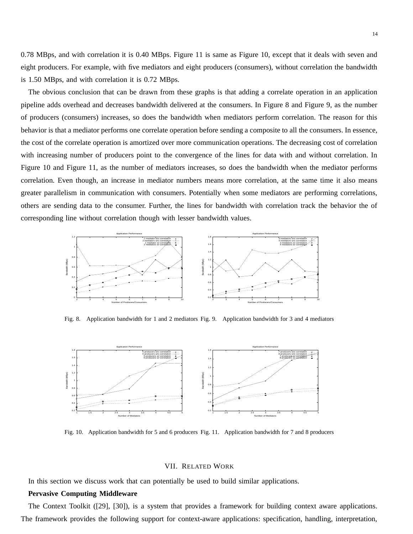0.78 MBps, and with correlation it is 0.40 MBps. Figure 11 is same as Figure 10, except that it deals with seven and eight producers. For example, with five mediators and eight producers (consumers), without correlation the bandwidth is 1.50 MBps, and with correlation it is 0.72 MBps.

The obvious conclusion that can be drawn from these graphs is that adding a correlate operation in an application pipeline adds overhead and decreases bandwidth delivered at the consumers. In Figure 8 and Figure 9, as the number of producers (consumers) increases, so does the bandwidth when mediators perform correlation. The reason for this behavior is that a mediator performs one correlate operation before sending a composite to all the consumers. In essence, the cost of the correlate operation is amortized over more communication operations. The decreasing cost of correlation with increasing number of producers point to the convergence of the lines for data with and without correlation. In Figure 10 and Figure 11, as the number of mediators increases, so does the bandwidth when the mediator performs correlation. Even though, an increase in mediator numbers means more correlation, at the same time it also means greater parallelism in communication with consumers. Potentially when some mediators are performing correlations, others are sending data to the consumer. Further, the lines for bandwidth with correlation track the behavior the of corresponding line without correlation though with lesser bandwidth values.



Fig. 8. Application bandwidth for 1 and 2 mediators Fig. 9. Application bandwidth for 3 and 4 mediators



Fig. 10. Application bandwidth for 5 and 6 producers Fig. 11. Application bandwidth for 7 and 8 producers

## VII. RELATED WORK

In this section we discuss work that can potentially be used to build similar applications.

## **Pervasive Computing Middleware**

The Context Toolkit ([29], [30]), is a system that provides a framework for building context aware applications. The framework provides the following support for context-aware applications: specification, handling, interpretation,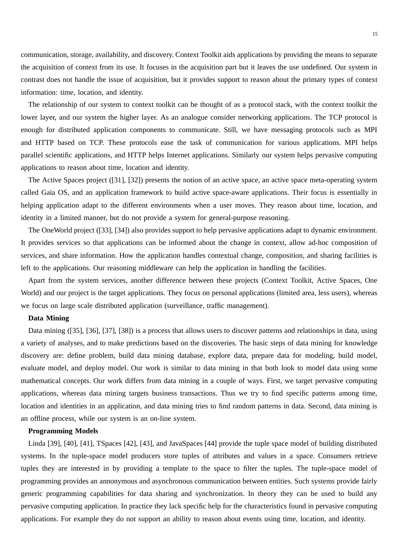communication, storage, availability, and discovery. Context Toolkit aids applications by providing the means to separate the acquisition of context from its use. It focuses in the acquisition part but it leaves the use undefined. Our system in contrast does not handle the issue of acquisition, but it provides support to reason about the primary types of context information: time, location, and identity.

The relationship of our system to context toolkit can be thought of as a protocol stack, with the context toolkit the lower layer, and our system the higher layer. As an analogue consider networking applications. The TCP protocol is enough for distributed application components to communicate. Still, we have messaging protocols such as MPI and HTTP based on TCP. These protocols ease the task of communication for various applications. MPI helps parallel scientific applications, and HTTP helps Internet applications. Similarly our system helps pervasive computing applications to reason about time, location and identity.

The Active Spaces project ([31], [32]) presents the notion of an active space, an active space meta-operating system called Gaia OS, and an application framework to build active space-aware applications. Their focus is essentially in helping application adapt to the different environments when a user moves. They reason about time, location, and identity in a limited manner, but do not provide a system for general-purpose reasoning.

The OneWorld project ([33], [34]) also provides support to help pervasive applications adapt to dynamic environment. It provides services so that applications can be informed about the change in context, allow ad-hoc composition of services, and share information. How the application handles contextual change, composition, and sharing facilities is left to the applications. Our reasoning middleware can help the application in handling the facilities.

Apart from the system services, another difference between these projects (Context Toolkit, Active Spaces, One World) and our project is the target applications. They focus on personal applications (limited area, less users), whereas we focus on large scale distributed application (surveillance, traffic management).

# **Data Mining**

Data mining ([35], [36], [37], [38]) is a process that allows users to discover patterns and relationships in data, using a variety of analyses, and to make predictions based on the discoveries. The basic steps of data mining for knowledge discovery are: define problem, build data mining database, explore data, prepare data for modeling, build model, evaluate model, and deploy model. Our work is similar to data mining in that both look to model data using some mathematical concepts. Our work differs from data mining in a couple of ways. First, we target pervasive computing applications, whereas data mining targets business transactions. Thus we try to find specific patterns among time, location and identities in an application, and data mining tries to find random patterns in data. Second, data mining is an offline process, while our system is an on-line system.

## **Programming Models**

Linda [39], [40], [41], TSpaces [42], [43], and JavaSpaces [44] provide the tuple space model of building distributed systems. In the tuple-space model producers store tuples of attributes and values in a space. Consumers retrieve tuples they are interested in by providing a template to the space to filter the tuples. The tuple-space model of programming provides an annonymous and asynchronous communication between entities. Such systems provide fairly generic programming capabilities for data sharing and synchronization. In theory they can be used to build any pervasive computing application. In practice they lack specific help for the characteristics found in pervasive computing applications. For example they do not support an ability to reason about events using time, location, and identity.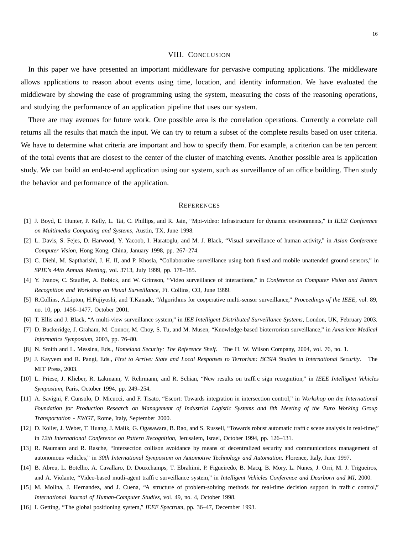#### VIII. CONCLUSION

In this paper we have presented an important middleware for pervasive computing applications. The middleware allows applications to reason about events using time, location, and identity information. We have evaluated the middleware by showing the ease of programming using the system, measuring the costs of the reasoning operations, and studying the performance of an application pipeline that uses our system.

There are may avenues for future work. One possible area is the correlation operations. Currently a correlate call returns all the results that match the input. We can try to return a subset of the complete results based on user criteria. We have to determine what criteria are important and how to specify them. For example, a criterion can be ten percent of the total events that are closest to the center of the cluster of matching events. Another possible area is application study. We can build an end-to-end application using our system, such as surveillance of an office building. Then study the behavior and performance of the application.

#### **REFERENCES**

- [1] J. Boyd, E. Hunter, P. Kelly, L. Tai, C. Phillips, and R. Jain, "Mpi-video: Infrastructure for dynamic environments," in *IEEE Conference on Multimedia Computing and Systems*, Austin, TX, June 1998.
- [2] L. Davis, S. Fejes, D. Harwood, Y. Yacoob, I. Haratoglu, and M. J. Black, "Visual surveillance of human activity," in *Asian Conference Computer Vision*, Hong Kong, China, January 1998, pp. 267–274.
- [3] C. Diehl, M. Saptharishi, J. H. II, and P. Khosla, "Collaborative surveillance using both fixed and mobile unattended ground sensors," in *SPIE's 44th Annual Meeting*, vol. 3713, July 1999, pp. 178–185.
- [4] Y. Ivanov, C. Stauffer, A. Bobick, and W. Grimson, "Video surveillance of interactions," in *Conference on Computer Vision and Pattern Recognition and Workshop on Visual Surveillance*, Ft. Collins, CO, June 1999.
- [5] R.Collins, A.Lipton, H.Fujiyoshi, and T.Kanade, "Algorithms for cooperative multi-sensor surveillance," *Proceedings of the IEEE*, vol. 89, no. 10, pp. 1456–1477, October 2001.
- [6] T. Ellis and J. Black, "A multi-view surveillance system," in *IEE Intelligent Distributed Surveillance Systems*, London, UK, February 2003.
- [7] D. Buckeridge, J. Graham, M. Connor, M. Choy, S. Tu, and M. Musen, "Knowledge-based bioterrorism surveillance," in *American Medical Informatics Symposium*, 2003, pp. 76–80.
- [8] N. Smith and L. Messina, Eds., *Homeland Security: The Reference Shelf*. The H. W. Wilson Company, 2004, vol. 76, no. 1.
- [9] J. Kayyem and R. Pangi, Eds., First to Arrive: State and Local Responses to Terrorism: BCSIA Studies in International Security. The MIT Press, 2003.
- [10] L. Priese, J. Klieber, R. Lakmann, V. Rehrmann, and R. Schian, "New results on traffic sign recognition," in *IEEE Intelligent Vehicles Symposium*, Paris, October 1994, pp. 249–254.
- [11] A. Savigni, F. Cunsolo, D. Micucci, and F. Tisato, "Escort: Towards integration in intersection control," in *Workshop on the International* Foundation for Production Research on Management of Industrial Logistic Systems and 8th Meeting of the Euro Working Group *Transportation - EWGT*, Rome, Italy, September 2000.
- [12] D. Koller, J. Weber, T. Huang, J. Malik, G. Ogasawara, B. Rao, and S. Russell, "Towards robust automatic traffic scene analysis in real-time," in *12th International Conference on Pattern Recognition*, Jerusalem, Israel, October 1994, pp. 126–131.
- [13] R. Naumann and R. Rasche, "Intersection collison avoidance by means of decentralized security and communications management of autonomous vehicles," in *30th International Symposium on Automotive Technology and Automation*, Florence, Italy, June 1997.
- [14] B. Abreu, L. Botelho, A. Cavallaro, D. Douxchamps, T. Ebrahimi, P. Figueiredo, B. Macq, B. Mory, L. Nunes, J. Orri, M. J. Trigueiros, and A. Violante, "Video-based mutli-agent traffic surveillance system," in *Intelligent Vehicles Conference and Dearborn and MI*, 2000.
- [15] M. Molina, J. Hernandez, and J. Cuena, "A structure of problem-solving methods for real-time decision support in traffic control," *International Journal of Human-Computer Studies*, vol. 49, no. 4, October 1998.
- [16] I. Getting, "The global positioning system," *IEEE Spectrum*, pp. 36–47, December 1993.